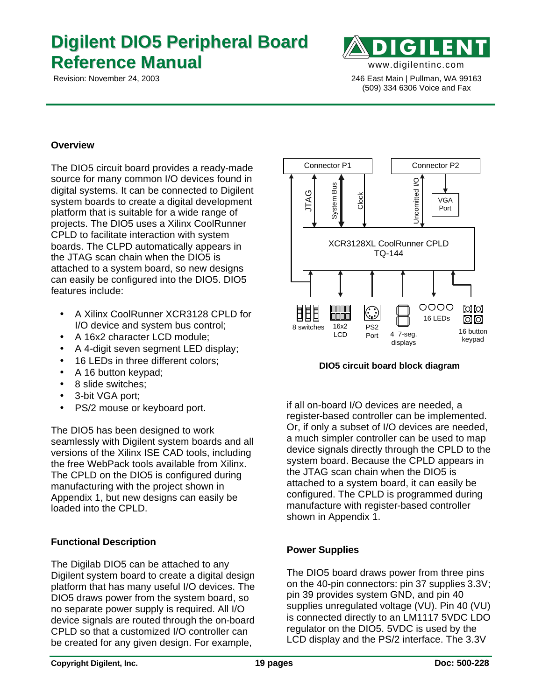# **Digilent DIO5 Peripheral Board Reference Manual** www.digilentinc.com



 Revision: November 24, 2003 246 East Main | Pullman, WA 99163 (509) 334 6306 Voice and Fax

## **Overview**

The DIO5 circuit board provides a ready-made source for many common I/O devices found in digital systems. It can be connected to Digilent system boards to create a digital development platform that is suitable for a wide range of projects. The DIO5 uses a Xilinx CoolRunner CPLD to facilitate interaction with system boards. The CLPD automatically appears in the JTAG scan chain when the DIO5 is attached to a system board, so new designs can easily be configured into the DIO5. DIO5 features include:

- A Xilinx CoolRunner XCR3128 CPLD for I/O device and system bus control;
- A 16x2 character LCD module:
- A 4-digit seven segment LED display;
- 16 LEDs in three different colors;
- A 16 button keypad;
- 8 slide switches;
- 3-bit VGA port;
- PS/2 mouse or keyboard port.

The DIO5 has been designed to work seamlessly with Digilent system boards and all versions of the Xilinx ISE CAD tools, including the free WebPack tools available from Xilinx. The CPLD on the DIO5 is configured during manufacturing with the project shown in Appendix 1, but new designs can easily be loaded into the CPLD.

# **Functional Description**

The Digilab DIO5 can be attached to any Digilent system board to create a digital design platform that has many useful I/O devices. The DIO5 draws power from the system board, so no separate power supply is required. All I/O device signals are routed through the on-board CPLD so that a customized I/O controller can be created for any given design. For example,



**DIO5 circuit board block diagram**

if all on-board I/O devices are needed, a register-based controller can be implemented. Or, if only a subset of I/O devices are needed, a much simpler controller can be used to map device signals directly through the CPLD to the system board. Because the CPLD appears in the JTAG scan chain when the DIO5 is attached to a system board, it can easily be configured. The CPLD is programmed during manufacture with register-based controller shown in Appendix 1.

# **Power Supplies**

The DIO5 board draws power from three pins on the 40-pin connectors: pin 37 supplies 3.3V; pin 39 provides system GND, and pin 40 supplies unregulated voltage (VU). Pin 40 (VU) is connected directly to an LM1117 5VDC LDO regulator on the DIO5. 5VDC is used by the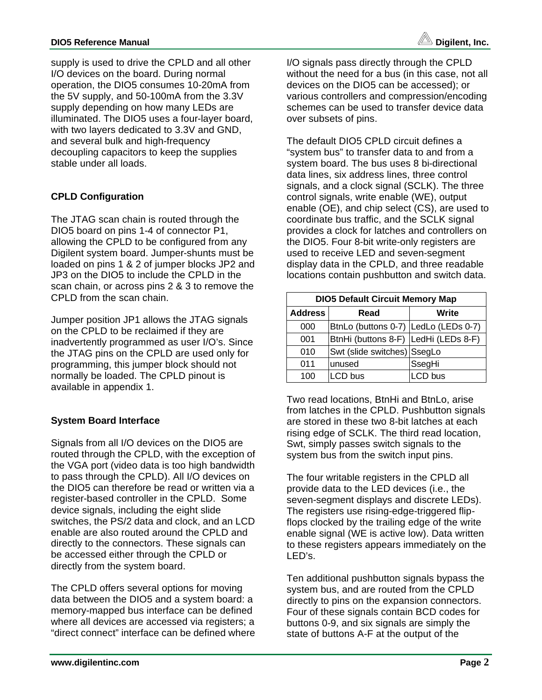supply is used to drive the CPLD and all other I/O devices on the board. During normal operation, the DIO5 consumes 10-20mA from the 5V supply, and 50-100mA from the 3.3V supply depending on how many LEDs are illuminated. The DIO5 uses a four-layer board, with two layers dedicated to 3.3V and GND, and several bulk and high-frequency decoupling capacitors to keep the supplies stable under all loads.

# **CPLD Configuration**

The JTAG scan chain is routed through the DIO5 board on pins 1-4 of connector P1, allowing the CPLD to be configured from any Digilent system board. Jumper-shunts must be loaded on pins 1 & 2 of jumper blocks JP2 and JP3 on the DIO5 to include the CPLD in the scan chain, or across pins 2 & 3 to remove the CPLD from the scan chain.

Jumper position JP1 allows the JTAG signals on the CPLD to be reclaimed if they are inadvertently programmed as user I/O's. Since the JTAG pins on the CPLD are used only for programming, this jumper block should not normally be loaded. The CPLD pinout is available in appendix 1.

# **System Board Interface**

Signals from all I/O devices on the DIO5 are routed through the CPLD, with the exception of the VGA port (video data is too high bandwidth to pass through the CPLD). All I/O devices on the DIO5 can therefore be read or written via a register-based controller in the CPLD. Some device signals, including the eight slide switches, the PS/2 data and clock, and an LCD enable are also routed around the CPLD and directly to the connectors. These signals can be accessed either through the CPLD or directly from the system board.

The CPLD offers several options for moving data between the DIO5 and a system board: a memory-mapped bus interface can be defined where all devices are accessed via registers; a "direct connect" interface can be defined where I/O signals pass directly through the CPLD without the need for a bus (in this case, not all devices on the DIO5 can be accessed); or various controllers and compression/encoding schemes can be used to transfer device data over subsets of pins.

The default DIO5 CPLD circuit defines a "system bus" to transfer data to and from a system board. The bus uses 8 bi-directional data lines, six address lines, three control signals, and a clock signal (SCLK). The three control signals, write enable (WE), output enable (OE), and chip select (CS), are used to coordinate bus traffic, and the SCLK signal provides a clock for latches and controllers on the DIO5. Four 8-bit write-only registers are used to receive LED and seven-segment display data in the CPLD, and three readable locations contain pushbutton and switch data.

| <b>DIO5 Default Circuit Memory Map</b> |                                      |         |  |  |  |  |  |  |
|----------------------------------------|--------------------------------------|---------|--|--|--|--|--|--|
| <b>Address</b>                         | Read                                 | Write   |  |  |  |  |  |  |
| 000                                    | BtnLo (buttons 0-7) LedLo (LEDs 0-7) |         |  |  |  |  |  |  |
| 001                                    | BtnHi (buttons 8-F) LedHi (LEDs 8-F) |         |  |  |  |  |  |  |
| 010                                    | Swt (slide switches) SsegLo          |         |  |  |  |  |  |  |
| 011                                    | unused                               | SsegHi  |  |  |  |  |  |  |
| 100                                    | <b>LCD</b> bus                       | LCD bus |  |  |  |  |  |  |

Two read locations, BtnHi and BtnLo, arise from latches in the CPLD. Pushbutton signals are stored in these two 8-bit latches at each rising edge of SCLK. The third read location, Swt, simply passes switch signals to the system bus from the switch input pins.

The four writable registers in the CPLD all provide data to the LED devices (i.e., the seven-segment displays and discrete LEDs). The registers use rising-edge-triggered flipflops clocked by the trailing edge of the write enable signal (WE is active low). Data written to these registers appears immediately on the LED's.

Ten additional pushbutton signals bypass the system bus, and are routed from the CPLD directly to pins on the expansion connectors. Four of these signals contain BCD codes for buttons 0-9, and six signals are simply the state of buttons A-F at the output of the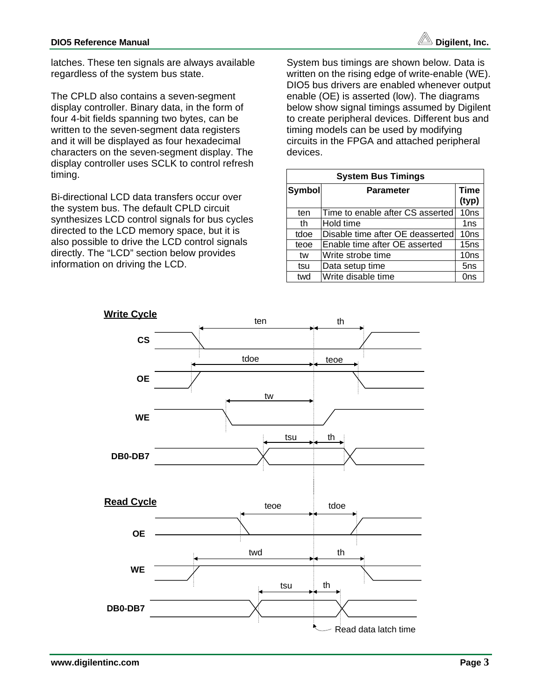latches. These ten signals are always available regardless of the system bus state.

The CPLD also contains a seven-segment display controller. Binary data, in the form of four 4-bit fields spanning two bytes, can be written to the seven-segment data registers and it will be displayed as four hexadecimal characters on the seven-segment display. The display controller uses SCLK to control refresh timing.

Bi-directional LCD data transfers occur over the system bus. The default CPLD circuit synthesizes LCD control signals for bus cycles directed to the LCD memory space, but it is also possible to drive the LCD control signals directly. The "LCD" section below provides information on driving the LCD.

System bus timings are shown below. Data is written on the rising edge of write-enable (WE). DIO5 bus drivers are enabled whenever output enable (OE) is asserted (low). The diagrams below show signal timings assumed by Digilent to create peripheral devices. Different bus and timing models can be used by modifying circuits in the FPGA and attached peripheral devices.

| <b>System Bus Timings</b>         |                                  |                  |  |  |  |  |  |
|-----------------------------------|----------------------------------|------------------|--|--|--|--|--|
| <b>Symbol</b><br><b>Parameter</b> |                                  |                  |  |  |  |  |  |
| ten                               | Time to enable after CS asserted | 10ns             |  |  |  |  |  |
| th                                | Hold time                        | 1 <sub>ns</sub>  |  |  |  |  |  |
| tdoe                              | Disable time after OE deasserted | 10ns             |  |  |  |  |  |
| teoe                              | Enable time after OE asserted    | 15 <sub>ns</sub> |  |  |  |  |  |
| tw                                | Write strobe time                | 10ns             |  |  |  |  |  |
| tsu                               | Data setup time                  | 5 <sub>ns</sub>  |  |  |  |  |  |
| twd                               | Write disable time               | 0ns              |  |  |  |  |  |

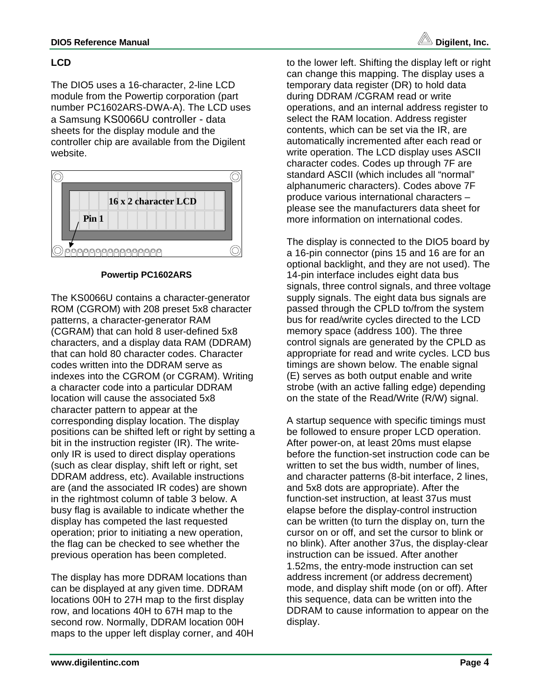

# **LCD**

The DIO5 uses a 16-character, 2-line LCD module from the Powertip corporation (part number PC1602ARS-DWA-A). The LCD uses a Samsung KS0066U controller - data sheets for the display module and the controller chip are available from the Digilent website.



**Powertip PC1602ARS**

The KS0066U contains a character-generator ROM (CGROM) with 208 preset 5x8 character patterns, a character-generator RAM (CGRAM) that can hold 8 user-defined 5x8 characters, and a display data RAM (DDRAM) that can hold 80 character codes. Character codes written into the DDRAM serve as indexes into the CGROM (or CGRAM). Writing a character code into a particular DDRAM location will cause the associated 5x8 character pattern to appear at the corresponding display location. The display positions can be shifted left or right by setting a bit in the instruction register (IR). The writeonly IR is used to direct display operations (such as clear display, shift left or right, set DDRAM address, etc). Available instructions are (and the associated IR codes) are shown in the rightmost column of table 3 below. A busy flag is available to indicate whether the display has competed the last requested operation; prior to initiating a new operation, the flag can be checked to see whether the previous operation has been completed.

The display has more DDRAM locations than can be displayed at any given time. DDRAM locations 00H to 27H map to the first display row, and locations 40H to 67H map to the second row. Normally, DDRAM location 00H maps to the upper left display corner, and 40H to the lower left. Shifting the display left or right can change this mapping. The display uses a temporary data register (DR) to hold data during DDRAM /CGRAM read or write operations, and an internal address register to select the RAM location. Address register contents, which can be set via the IR, are automatically incremented after each read or write operation. The LCD display uses ASCII character codes. Codes up through 7F are standard ASCII (which includes all "normal" alphanumeric characters). Codes above 7F produce various international characters – please see the manufacturers data sheet for more information on international codes.

The display is connected to the DIO5 board by a 16-pin connector (pins 15 and 16 are for an optional backlight, and they are not used). The 14-pin interface includes eight data bus signals, three control signals, and three voltage supply signals. The eight data bus signals are passed through the CPLD to/from the system bus for read/write cycles directed to the LCD memory space (address 100). The three control signals are generated by the CPLD as appropriate for read and write cycles. LCD bus timings are shown below. The enable signal (E) serves as both output enable and write strobe (with an active falling edge) depending on the state of the Read/Write (R/W) signal.

A startup sequence with specific timings must be followed to ensure proper LCD operation. After power-on, at least 20ms must elapse before the function-set instruction code can be written to set the bus width, number of lines, and character patterns (8-bit interface, 2 lines, and 5x8 dots are appropriate). After the function-set instruction, at least 37us must elapse before the display-control instruction can be written (to turn the display on, turn the cursor on or off, and set the cursor to blink or no blink). After another 37us, the display-clear instruction can be issued. After another 1.52ms, the entry-mode instruction can set address increment (or address decrement) mode, and display shift mode (on or off). After this sequence, data can be written into the DDRAM to cause information to appear on the display.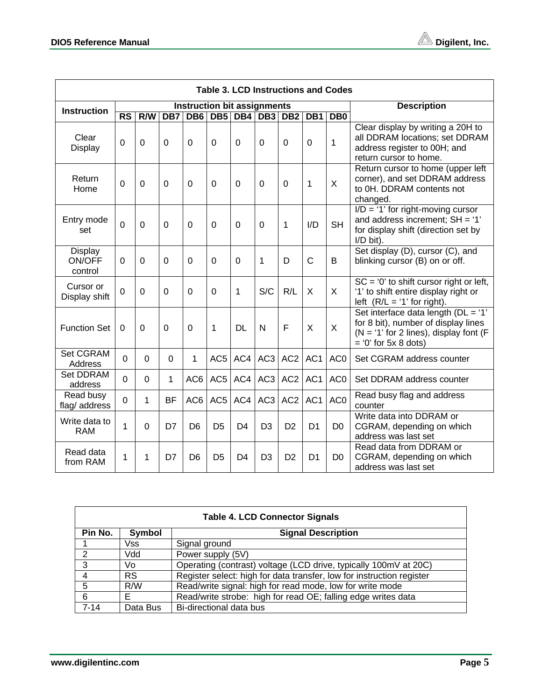| <b>Table 3. LCD Instructions and Codes</b> |                        |             |                |                                    |                 |                |                 |                 |                |                 |                                                                                                                                                 |
|--------------------------------------------|------------------------|-------------|----------------|------------------------------------|-----------------|----------------|-----------------|-----------------|----------------|-----------------|-------------------------------------------------------------------------------------------------------------------------------------------------|
| <b>Instruction</b>                         |                        |             |                | <b>Instruction bit assignments</b> |                 |                |                 |                 |                |                 | <b>Description</b>                                                                                                                              |
|                                            | $\overline{\text{RS}}$ | R/W         | DB7            | DB <sub>6</sub>                    | DB <sub>5</sub> | DB4            | DB <sub>3</sub> | DB <sub>2</sub> | DB1            | DB0             |                                                                                                                                                 |
| Clear<br>Display                           | $\overline{0}$         | $\Omega$    | $\overline{0}$ | $\Omega$                           | 0               | $\Omega$       | $\Omega$        | 0               | 0              | $\mathbf{1}$    | Clear display by writing a 20H to<br>all DDRAM locations; set DDRAM<br>address register to 00H; and<br>return cursor to home.                   |
| Return<br>Home                             | 0                      | $\Omega$    | $\mathbf 0$    | 0                                  | 0               | 0              | 0               | 0               | 1              | X               | Return cursor to home (upper left<br>corner), and set DDRAM address<br>to OH. DDRAM contents not<br>changed.                                    |
| Entry mode<br>set                          | $\overline{0}$         | 0           | $\overline{0}$ | $\overline{0}$                     | 0               | 0              | 0               | 1               | I/D            | <b>SH</b>       | $I/D = '1'$ for right-moving cursor<br>and address increment; $SH = '1'$<br>for display shift (direction set by<br>$I/D$ bit).                  |
| Display<br>ON/OFF<br>control               | $\Omega$               | $\Omega$    | $\Omega$       | $\Omega$                           | $\Omega$        | $\Omega$       | 1               | D               | $\mathsf{C}$   | B               | Set display (D), cursor (C), and<br>blinking cursor (B) on or off.                                                                              |
| Cursor or<br>Display shift                 | $\Omega$               | $\Omega$    | $\Omega$       | $\Omega$                           | $\Omega$        | 1              | S/C             | R/L             | $\times$       | X               | $SC = '0'$ to shift cursor right or left,<br>'1' to shift entire display right or<br>left $(R/L = '1'$ for right).                              |
| <b>Function Set</b>                        | $\Omega$               | $\Omega$    | $\overline{0}$ | $\Omega$                           | 1               | <b>DL</b>      | N               | F               | X              | $\times$        | Set interface data length (DL = '1'<br>for 8 bit), number of display lines<br>$(N = '1'$ for 2 lines), display font (F<br>$= 0'$ for 5x 8 dots) |
| Set CGRAM<br>Address                       | $\mathbf 0$            | $\mathbf 0$ | $\overline{0}$ | $\mathbf{1}$                       | AC <sub>5</sub> | AC4            | AC <sub>3</sub> | AC <sub>2</sub> | AC1            | AC <sub>0</sub> | Set CGRAM address counter                                                                                                                       |
| <b>Set DDRAM</b><br>address                | 0                      | $\Omega$    | $\mathbf{1}$   | AC6                                | AC <sub>5</sub> | AC4            | AC <sub>3</sub> | AC <sub>2</sub> | AC1            | AC <sub>0</sub> | Set DDRAM address counter                                                                                                                       |
| Read busy<br>flag/ address                 | 0                      | 1           | <b>BF</b>      | AC6                                | AC <sub>5</sub> | AC4            | AC <sub>3</sub> | AC <sub>2</sub> | AC1            | AC <sub>0</sub> | Read busy flag and address<br>counter                                                                                                           |
| Write data to<br><b>RAM</b>                | 1                      | 0           | D7             | D <sub>6</sub>                     | D <sub>5</sub>  | D <sub>4</sub> | D <sub>3</sub>  | D <sub>2</sub>  | D <sub>1</sub> | D <sub>0</sub>  | Write data into DDRAM or<br>CGRAM, depending on which<br>address was last set                                                                   |
| Read data<br>from RAM                      | 1                      | 1           | D7             | D <sub>6</sub>                     | D <sub>5</sub>  | D <sub>4</sub> | D <sub>3</sub>  | D <sub>2</sub>  | D <sub>1</sub> | D <sub>0</sub>  | Read data from DDRAM or<br>CGRAM, depending on which<br>address was last set                                                                    |

| <b>Table 4. LCD Connector Signals</b>          |           |                                                                       |  |  |  |  |  |  |
|------------------------------------------------|-----------|-----------------------------------------------------------------------|--|--|--|--|--|--|
| Pin No.<br>Symbol<br><b>Signal Description</b> |           |                                                                       |  |  |  |  |  |  |
|                                                | Vss       | Signal ground                                                         |  |  |  |  |  |  |
| $\mathcal{P}$                                  | Vdd       | Power supply (5V)                                                     |  |  |  |  |  |  |
| 3                                              | Vo        | Operating (contrast) voltage (LCD drive, typically 100mV at 20C)      |  |  |  |  |  |  |
|                                                | <b>RS</b> | Register select: high for data transfer, low for instruction register |  |  |  |  |  |  |
| 5                                              | R/W       | Read/write signal: high for read mode, low for write mode             |  |  |  |  |  |  |
| 6                                              | F.        | Read/write strobe: high for read OE; falling edge writes data         |  |  |  |  |  |  |
| $7 - 14$                                       | Data Bus  | Bi-directional data bus                                               |  |  |  |  |  |  |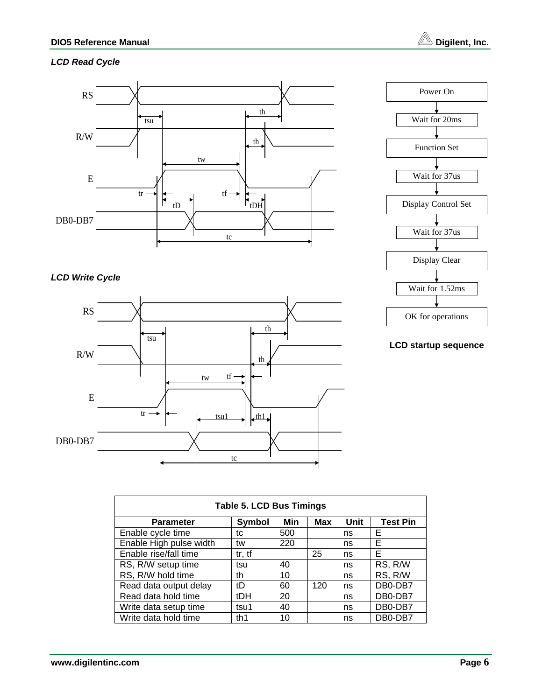# *LCD Read Cycle*



# *LCD Write Cycle*





### **LCD startup sequence**

| <b>Table 5. LCD Bus Timings</b>                                            |        |     |     |    |         |  |  |  |
|----------------------------------------------------------------------------|--------|-----|-----|----|---------|--|--|--|
| Unit<br><b>Test Pin</b><br>Min<br>Symbol<br><b>Max</b><br><b>Parameter</b> |        |     |     |    |         |  |  |  |
| Enable cycle time                                                          | tc     | 500 |     | ns | Е       |  |  |  |
| Enable High pulse width                                                    | tw     | 220 |     | ns | Е       |  |  |  |
| Enable rise/fall time                                                      | tr, tf |     | 25  | ns | Е       |  |  |  |
| RS, R/W setup time                                                         | tsu    | 40  |     | ns | RS, R/W |  |  |  |
| RS, R/W hold time                                                          | th     | 10  |     | ns | RS, R/W |  |  |  |
| Read data output delay                                                     | tD     | 60  | 120 | ns | DB0-DB7 |  |  |  |
| Read data hold time                                                        | tDH    | 20  |     | ns | DB0-DB7 |  |  |  |
| Write data setup time                                                      | tsu1   | 40  |     | ns | DB0-DB7 |  |  |  |
| Write data hold time                                                       | th1    | 10  |     | ns | DB0-DB7 |  |  |  |

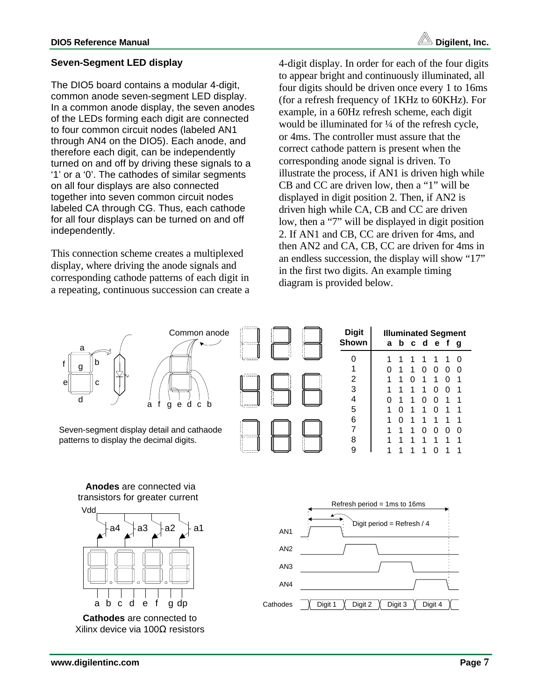# **Seven-Segment LED display**

The DIO5 board contains a modular 4-digit, common anode seven-segment LED display. In a common anode display, the seven anodes of the LEDs forming each digit are connected to four common circuit nodes (labeled AN1 through AN4 on the DIO5). Each anode, and therefore each digit, can be independently turned on and off by driving these signals to a '1' or a '0'. The cathodes of similar segments on all four displays are also connected together into seven common circuit nodes labeled CA through CG. Thus, each cathode for all four displays can be turned on and off independently.

This connection scheme creates a multiplexed display, where driving the anode signals and corresponding cathode patterns of each digit in a repeating, continuous succession can create a 4-digit display. In order for each of the four digits to appear bright and continuously illuminated, all four digits should be driven once every 1 to 16ms (for a refresh frequency of 1KHz to 60KHz). For example, in a 60Hz refresh scheme, each digit would be illuminated for ¼ of the refresh cycle, or 4ms. The controller must assure that the correct cathode pattern is present when the corresponding anode signal is driven. To illustrate the process, if AN1 is driven high while CB and CC are driven low, then a "1" will be displayed in digit position 2. Then, if AN2 is driven high while CA, CB and CC are driven low, then a "7" will be displayed in digit position 2. If AN1 and CB, CC are driven for 4ms, and then AN2 and CA, CB, CC are driven for 4ms in an endless succession, the display will show "17" in the first two digits. An example timing diagram is provided below.



**Cathodes** are connected to Xilinx device via 100Ω resistors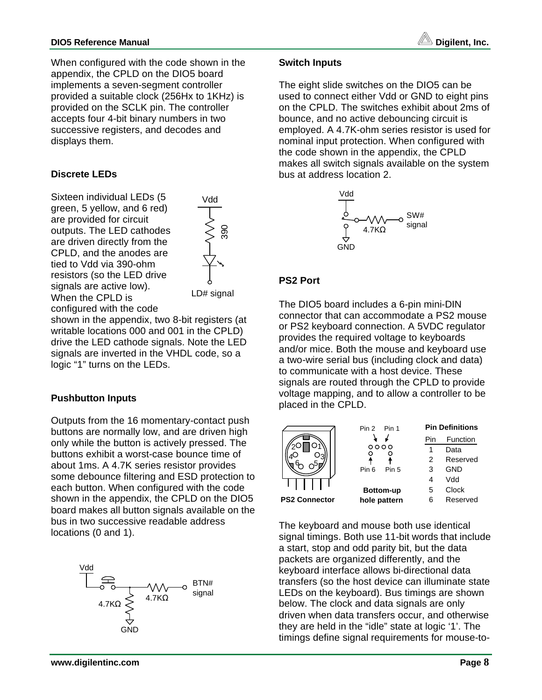

When configured with the code shown in the appendix, the CPLD on the DIO5 board implements a seven-segment controller provided a suitable clock (256Hx to 1KHz) is provided on the SCLK pin. The controller accepts four 4-bit binary numbers in two successive registers, and decodes and displays them.

# **Discrete LEDs**

Sixteen individual LEDs (5 green, 5 yellow, and 6 red) are provided for circuit outputs. The LED cathodes are driven directly from the CPLD, and the anodes are tied to Vdd via 390-ohm resistors (so the LED drive signals are active low). When the CPLD is configured with the code

Vdd  $\begin{array}{c}\n\searrow \\
\searrow \\
\searrow \\
\searrow \\
\searrow\n\end{array}$ 

shown in the appendix, two 8-bit registers (at writable locations 000 and 001 in the CPLD) drive the LED cathode signals. Note the LED signals are inverted in the VHDL code, so a logic "1" turns on the LEDs.

# **Pushbutton Inputs**

Outputs from the 16 momentary-contact push buttons are normally low, and are driven high only while the button is actively pressed. The buttons exhibit a worst-case bounce time of about 1ms. A 4.7K series resistor provides some debounce filtering and ESD protection to each button. When configured with the code shown in the appendix, the CPLD on the DIO5 board makes all button signals available on the bus in two successive readable address locations (0 and 1).



#### **Switch Inputs**

The eight slide switches on the DIO5 can be used to connect either Vdd or GND to eight pins on the CPLD. The switches exhibit about 2ms of bounce, and no active debouncing circuit is employed. A 4.7K-ohm series resistor is used for nominal input protection. When configured with the code shown in the appendix, the CPLD makes all switch signals available on the system bus at address location 2.



#### **PS2 Port**

The DIO5 board includes a 6-pin mini-DIN connector that can accommodate a PS2 mouse or PS2 keyboard connection. A 5VDC regulator provides the required voltage to keyboards and/or mice. Both the mouse and keyboard use a two-wire serial bus (including clock and data) to communicate with a host device. These signals are routed through the CPLD to provide voltage mapping, and to allow a controller to be placed in the CPLD.



The keyboard and mouse both use identical signal timings. Both use 11-bit words that include a start, stop and odd parity bit, but the data packets are organized differently, and the keyboard interface allows bi-directional data transfers (so the host device can illuminate state LEDs on the keyboard). Bus timings are shown below. The clock and data signals are only driven when data transfers occur, and otherwise they are held in the "idle" state at logic '1'. The timings define signal requirements for mouse-to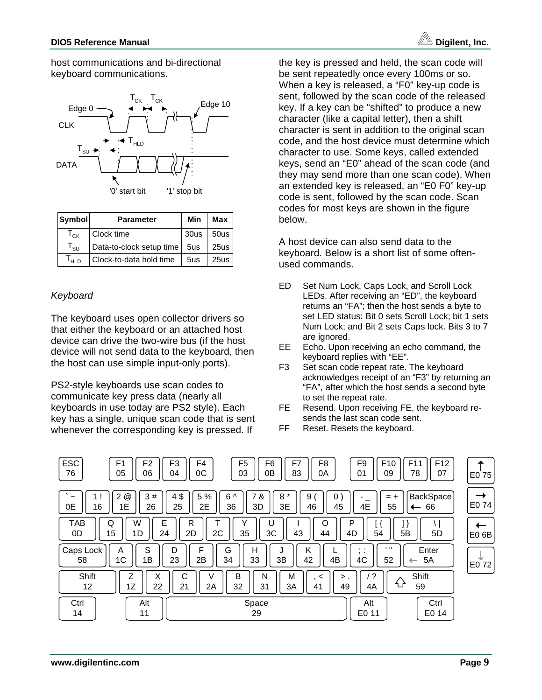host communications and bi-directional keyboard communications.



| Symbol          | <b>Parameter</b>         | Min  | Max  |
|-----------------|--------------------------|------|------|
| $T_{CK}$        | Clock time               | 30us | 50us |
| $I_{\text{SU}}$ | Data-to-clock setup time | 5us  | 25us |
| HLD.            | Clock-to-data hold time  | 5us  | 25us |

# *Keyboard*

The keyboard uses open collector drivers so that either the keyboard or an attached host device can drive the two-wire bus (if the host device will not send data to the keyboard, then the host can use simple input-only ports).

PS2-style keyboards use scan codes to communicate key press data (nearly all keyboards in use today are PS2 style). Each key has a single, unique scan code that is sent whenever the corresponding key is pressed. If

the key is pressed and held, the scan code will be sent repeatedly once every 100ms or so. When a key is released, a "F0" key-up code is sent, followed by the scan code of the released key. If a key can be "shifted" to produce a new character (like a capital letter), then a shift character is sent in addition to the original scan code, and the host device must determine which character to use. Some keys, called extended keys, send an "E0" ahead of the scan code (and they may send more than one scan code). When an extended key is released, an "E0 F0" key-up code is sent, followed by the scan code. Scan codes for most keys are shown in the figure below.

A host device can also send data to the keyboard. Below is a short list of some oftenused commands.

- ED Set Num Lock, Caps Lock, and Scroll Lock LEDs. After receiving an "ED", the keyboard returns an "FA"; then the host sends a byte to set LED status: Bit 0 sets Scroll Lock; bit 1 sets Num Lock; and Bit 2 sets Caps lock. Bits 3 to 7 are ignored.
- EE Echo. Upon receiving an echo command, the keyboard replies with "EE".
- F3 Set scan code repeat rate. The keyboard acknowledges receipt of an "F3" by returning an "FA", after which the host sends a second byte to set the repeat rate.
- FE Resend. Upon receiving FE, the keyboard resends the last scan code sent.
- FF Reset. Resets the keyboard.

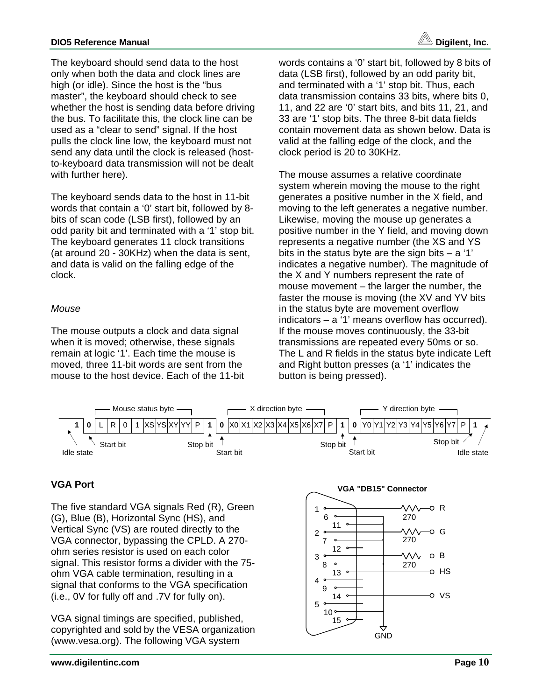# **DIO5 Reference Manual Digilent, Inc.**

The keyboard should send data to the host only when both the data and clock lines are high (or idle). Since the host is the "bus master", the keyboard should check to see whether the host is sending data before driving the bus. To facilitate this, the clock line can be used as a "clear to send" signal. If the host pulls the clock line low, the keyboard must not send any data until the clock is released (hostto-keyboard data transmission will not be dealt with further here).

The keyboard sends data to the host in 11-bit words that contain a '0' start bit, followed by 8 bits of scan code (LSB first), followed by an odd parity bit and terminated with a '1' stop bit. The keyboard generates 11 clock transitions (at around 20 - 30KHz) when the data is sent, and data is valid on the falling edge of the clock.

# *Mouse*

The mouse outputs a clock and data signal when it is moved; otherwise, these signals remain at logic '1'. Each time the mouse is moved, three 11-bit words are sent from the mouse to the host device. Each of the 11-bit words contains a '0' start bit, followed by 8 bits of data (LSB first), followed by an odd parity bit, and terminated with a '1' stop bit. Thus, each data transmission contains 33 bits, where bits 0, 11, and 22 are '0' start bits, and bits 11, 21, and 33 are '1' stop bits. The three 8-bit data fields contain movement data as shown below. Data is valid at the falling edge of the clock, and the clock period is 20 to 30KHz.

The mouse assumes a relative coordinate system wherein moving the mouse to the right generates a positive number in the X field, and moving to the left generates a negative number. Likewise, moving the mouse up generates a positive number in the Y field, and moving down represents a negative number (the XS and YS bits in the status byte are the sign bits  $- a'1'$ indicates a negative number). The magnitude of the X and Y numbers represent the rate of mouse movement – the larger the number, the faster the mouse is moving (the XV and YV bits in the status byte are movement overflow indicators – a '1' means overflow has occurred). If the mouse moves continuously, the 33-bit transmissions are repeated every 50ms or so. The L and R fields in the status byte indicate Left and Right button presses (a '1' indicates the button is being pressed).



# **VGA Port**

The five standard VGA signals Red (R), Green (G), Blue (B), Horizontal Sync (HS), and Vertical Sync (VS) are routed directly to the VGA connector, bypassing the CPLD. A 270 ohm series resistor is used on each color signal. This resistor forms a divider with the 75 ohm VGA cable termination, resulting in a signal that conforms to the VGA specification (i.e., 0V for fully off and .7V for fully on).

VGA signal timings are specified, published, copyrighted and sold by the VESA organization (www.vesa.org). The following VGA system

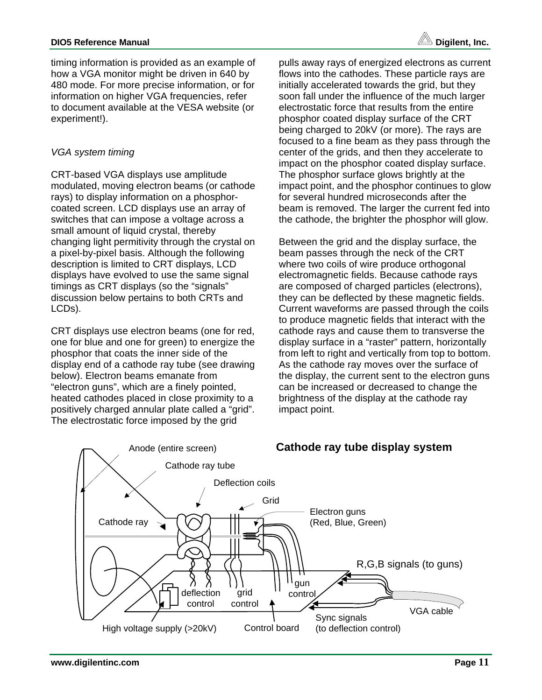timing information is provided as an example of how a VGA monitor might be driven in 640 by 480 mode. For more precise information, or for information on higher VGA frequencies, refer to document available at the VESA website (or experiment!).

# *VGA system timing*

CRT-based VGA displays use amplitude modulated, moving electron beams (or cathode rays) to display information on a phosphorcoated screen. LCD displays use an array of switches that can impose a voltage across a small amount of liquid crystal, thereby changing light permitivity through the crystal on a pixel-by-pixel basis. Although the following description is limited to CRT displays, LCD displays have evolved to use the same signal timings as CRT displays (so the "signals" discussion below pertains to both CRTs and LCDs).

CRT displays use electron beams (one for red, one for blue and one for green) to energize the phosphor that coats the inner side of the display end of a cathode ray tube (see drawing below). Electron beams emanate from "electron guns", which are a finely pointed, heated cathodes placed in close proximity to a positively charged annular plate called a "grid". The electrostatic force imposed by the grid

pulls away rays of energized electrons as current flows into the cathodes. These particle rays are initially accelerated towards the grid, but they soon fall under the influence of the much larger electrostatic force that results from the entire phosphor coated display surface of the CRT being charged to 20kV (or more). The rays are focused to a fine beam as they pass through the center of the grids, and then they accelerate to impact on the phosphor coated display surface. The phosphor surface glows brightly at the impact point, and the phosphor continues to glow for several hundred microseconds after the beam is removed. The larger the current fed into the cathode, the brighter the phosphor will glow.

Between the grid and the display surface, the beam passes through the neck of the CRT where two coils of wire produce orthogonal electromagnetic fields. Because cathode rays are composed of charged particles (electrons), they can be deflected by these magnetic fields. Current waveforms are passed through the coils to produce magnetic fields that interact with the cathode rays and cause them to transverse the display surface in a "raster" pattern, horizontally from left to right and vertically from top to bottom. As the cathode ray moves over the surface of the display, the current sent to the electron guns can be increased or decreased to change the brightness of the display at the cathode ray impact point.

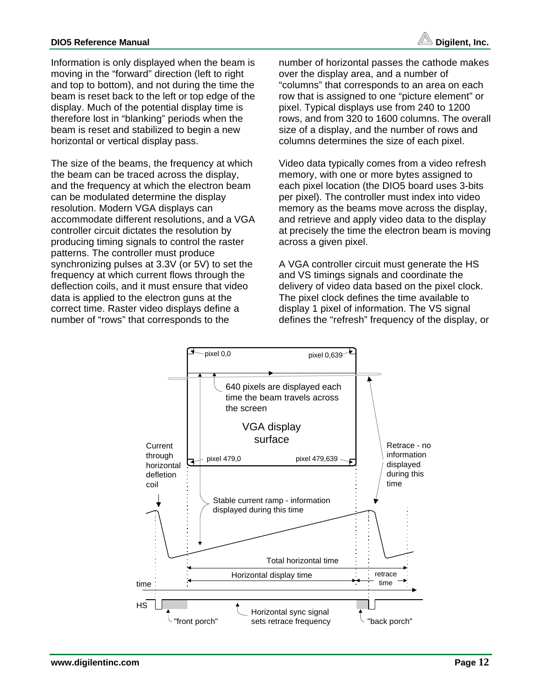### **DIO5 Reference Manual DIO5 Reference Manual**

Information is only displayed when the beam is moving in the "forward" direction (left to right and top to bottom), and not during the time the beam is reset back to the left or top edge of the display. Much of the potential display time is therefore lost in "blanking" periods when the beam is reset and stabilized to begin a new horizontal or vertical display pass.

The size of the beams, the frequency at which the beam can be traced across the display, and the frequency at which the electron beam can be modulated determine the display resolution. Modern VGA displays can accommodate different resolutions, and a VGA controller circuit dictates the resolution by producing timing signals to control the raster patterns. The controller must produce synchronizing pulses at 3.3V (or 5V) to set the frequency at which current flows through the deflection coils, and it must ensure that video data is applied to the electron guns at the correct time. Raster video displays define a number of "rows" that corresponds to the

number of horizontal passes the cathode makes over the display area, and a number of "columns" that corresponds to an area on each row that is assigned to one "picture element" or pixel. Typical displays use from 240 to 1200 rows, and from 320 to 1600 columns. The overall size of a display, and the number of rows and columns determines the size of each pixel.

Video data typically comes from a video refresh memory, with one or more bytes assigned to each pixel location (the DIO5 board uses 3-bits per pixel). The controller must index into video memory as the beams move across the display, and retrieve and apply video data to the display at precisely the time the electron beam is moving across a given pixel.

A VGA controller circuit must generate the HS and VS timings signals and coordinate the delivery of video data based on the pixel clock. The pixel clock defines the time available to display 1 pixel of information. The VS signal defines the "refresh" frequency of the display, or

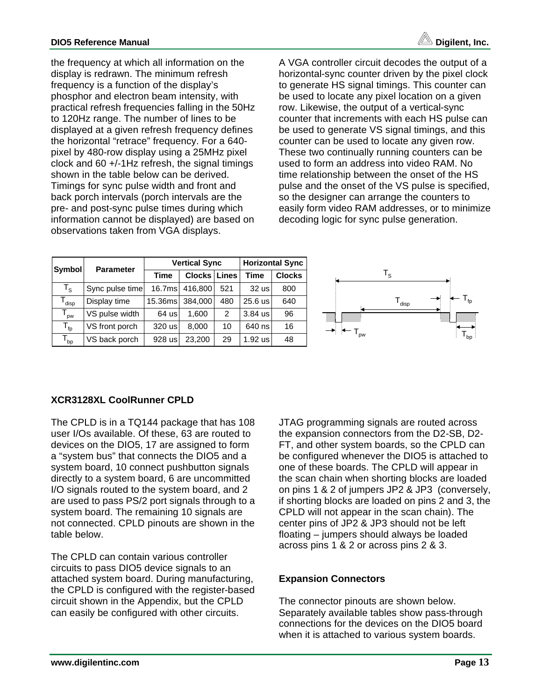

the frequency at which all information on the display is redrawn. The minimum refresh frequency is a function of the display's phosphor and electron beam intensity, with practical refresh frequencies falling in the 50Hz to 120Hz range. The number of lines to be displayed at a given refresh frequency defines the horizontal "retrace" frequency. For a 640 pixel by 480-row display using a 25MHz pixel clock and 60 +/-1Hz refresh, the signal timings shown in the table below can be derived. Timings for sync pulse width and front and back porch intervals (porch intervals are the pre- and post-sync pulse times during which information cannot be displayed) are based on observations taken from VGA displays.

A VGA controller circuit decodes the output of a horizontal-sync counter driven by the pixel clock to generate HS signal timings. This counter can be used to locate any pixel location on a given row. Likewise, the output of a vertical-sync counter that increments with each HS pulse can be used to generate VS signal timings, and this counter can be used to locate any given row. These two continually running counters can be used to form an address into video RAM. No time relationship between the onset of the HS pulse and the onset of the VS pulse is specified, so the designer can arrange the counters to easily form video RAM addresses, or to minimize decoding logic for sync pulse generation.

| Symbol                       | <b>Parameter</b> |         | <b>Vertical Sync</b> | <b>Horizontal Sync</b> |           |               |
|------------------------------|------------------|---------|----------------------|------------------------|-----------|---------------|
|                              |                  | Time    | Clocks               | Lines                  | Time      | <b>Clocks</b> |
| $\mathsf{T}_\mathsf{S}$      | Sync pulse time  | 16.7ms  | 416,800              | 521                    | $32$ us   | 800           |
| $\mathsf{T}_{\mathsf{disp}}$ | Display time     | 15.36ms | 384.000              | 480                    | 25.6 us   | 640           |
| $T_{\text{pw}}$              | VS pulse width   | 64 us   | 1.600                | $\overline{2}$         | $3.84$ us | 96            |
| $T_{\text{fp}}$              | VS front porch   | 320 us  | 8,000                | 10                     | 640 ns    | 16            |
| $T_{bp}$                     | VS back porch    | 928 us  | 23,200               | 29                     | $1.92$ us | 48            |



# **XCR3128XL CoolRunner CPLD**

The CPLD is in a TQ144 package that has 108 user I/Os available. Of these, 63 are routed to devices on the DIO5, 17 are assigned to form a "system bus" that connects the DIO5 and a system board, 10 connect pushbutton signals directly to a system board, 6 are uncommitted I/O signals routed to the system board, and 2 are used to pass PS/2 port signals through to a system board. The remaining 10 signals are not connected. CPLD pinouts are shown in the table below.

The CPLD can contain various controller circuits to pass DIO5 device signals to an attached system board. During manufacturing, the CPLD is configured with the register-based circuit shown in the Appendix, but the CPLD can easily be configured with other circuits.

JTAG programming signals are routed across the expansion connectors from the D2-SB, D2- FT, and other system boards, so the CPLD can be configured whenever the DIO5 is attached to one of these boards. The CPLD will appear in the scan chain when shorting blocks are loaded on pins 1 & 2 of jumpers JP2 & JP3 (conversely, if shorting blocks are loaded on pins 2 and 3, the CPLD will not appear in the scan chain). The center pins of JP2 & JP3 should not be left floating – jumpers should always be loaded across pins 1 & 2 or across pins 2 & 3.

# **Expansion Connectors**

The connector pinouts are shown below. Separately available tables show pass-through connections for the devices on the DIO5 board when it is attached to various system boards.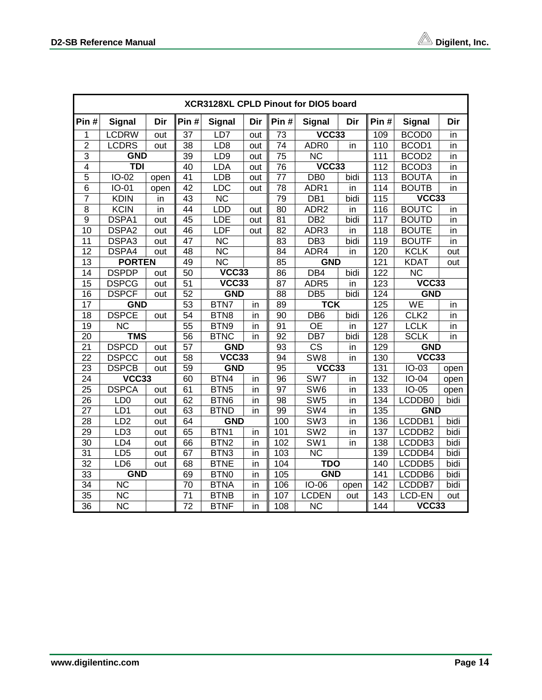|                 | XCR3128XL CPLD Pinout for DIO5 board |      |                 |                           |     |                 |                        |      |              |                        |      |  |
|-----------------|--------------------------------------|------|-----------------|---------------------------|-----|-----------------|------------------------|------|--------------|------------------------|------|--|
| Pin#            | <b>Signal</b>                        | Dir  | Pin#            | <b>Signal</b>             | Dir | Pin#            | <b>Signal</b>          | Dir  | Pin#         | <b>Signal</b>          | Dir  |  |
| 1               | <b>LCDRW</b>                         | out  | 37              | LD7                       | out | 73              | VCC33                  |      | 109          | BCOD <sub>0</sub>      | in   |  |
| $\overline{2}$  | <b>LCDRS</b>                         | out  | 38              | LD8                       | out | $\overline{74}$ | ADR <sub>0</sub>       | in   | 110          | BCOD <sub>1</sub>      | in   |  |
| $\overline{3}$  | <b>GND</b>                           |      | 39              | LD9                       | out | $\overline{75}$ | $\overline{\text{NC}}$ |      | 111          | BCOD <sub>2</sub>      | in   |  |
| $\overline{4}$  | <b>TDI</b>                           |      | 40              | LDA                       | out | $\overline{76}$ | $\sqrt{CC33}$          |      | 112          | BCOD <sub>3</sub>      | in   |  |
| $\overline{5}$  | IO-02                                | open | 41              | <b>LDB</b>                | out | $\overline{77}$ | DB <sub>0</sub>        | bidi | 113          | <b>BOUTA</b>           | in   |  |
| $\overline{6}$  | IO-01                                | open | 42              | LDC                       | out | $\overline{78}$ | ADR1                   | in   | 114          | <b>BOUTB</b>           | in   |  |
| $\overline{7}$  | <b>KDIN</b>                          | in   | 43              | $\overline{\text{NC}}$    |     | 79              | DB1                    | bidi | 115          | VCC33                  |      |  |
| 8               | <b>KCIN</b>                          | in   | 44              | LDD                       | out | 80              | ADR <sub>2</sub>       | in   | 116          | <b>BOUTC</b>           | in   |  |
| $\overline{9}$  | DSPA1                                | out  | 45              | LDE                       | out | 81              | DB2                    | bidi | 117          | <b>BOUTD</b>           | in   |  |
| $\overline{10}$ | DSPA2                                | out  | 46              | LDF                       | out | $\overline{82}$ | ADR3                   | in   | 118          | <b>BOUTE</b>           | in   |  |
| $\overline{11}$ | DSPA3                                | out  | 47              | $\overline{\text{NC}}$    |     | $\overline{83}$ | $\overline{DB3}$       | bidi | 119          | <b>BOUTF</b>           | in   |  |
| 12              | DSPA4                                | out  | 48              | <b>NC</b>                 |     | 84              | ADR4                   | in   | 120          | <b>KCLK</b>            | out  |  |
| $\overline{13}$ | <b>PORTEN</b>                        |      | 49              | $\overline{\text{NC}}$    |     | 85              | <b>GND</b>             |      | 121          | <b>KDAT</b>            | out  |  |
| 14              | <b>DSPDP</b>                         | out  | $\overline{50}$ | $\overline{\text{VCC33}}$ |     | 86              | DB4                    | bidi | 122          | $\overline{\text{NC}}$ |      |  |
| 15              | <b>DSPCG</b>                         | out  | 51              | VCC33                     |     | 87              | ADR <sub>5</sub>       | in   | VCC33<br>123 |                        |      |  |
| $\overline{16}$ | <b>DSPCF</b>                         | out  | 52              | <b>GND</b>                |     | $\overline{88}$ | DB5                    | bidi | 124          | <b>GND</b>             |      |  |
| $\overline{17}$ | <b>GND</b>                           |      | $\overline{53}$ | BTN7                      | in  | 89              | <b>TCK</b>             |      | 125          | <b>WE</b><br>in        |      |  |
| 18              | <b>DSPCE</b>                         | out  | 54              | BTN8                      | in  | $\overline{90}$ | DB6                    | bidi | 126          | CLK <sub>2</sub>       | in   |  |
| 19              | <b>NC</b>                            |      | 55              | BTN9                      | in  | 91              | <b>OE</b>              | in   | 127          | <b>LCLK</b>            | in   |  |
| 20              | <b>TMS</b>                           |      | 56              | <b>BTNC</b>               | in  | 92              | DB7                    | bidi | 128          | <b>SCLK</b>            | in   |  |
| $\overline{21}$ | <b>DSPCD</b>                         | out  | $\overline{57}$ | <b>GND</b>                |     | $\overline{93}$ | $\overline{\text{CS}}$ | in   | 129          | <b>GND</b>             |      |  |
| $\overline{22}$ | <b>DSPCC</b>                         | out  | 58              | VCC33                     |     | 94              | SW <sub>8</sub>        | in   | 130          | VCC33                  |      |  |
| 23              | <b>DSPCB</b>                         | out  | 59              | <b>GND</b>                |     | 95              | VCC33                  |      | 131          | $IO-03$                | open |  |
| $\overline{24}$ | $\overline{\text{VCC33}}$            |      | $\overline{6}0$ | BTN <sub>4</sub>          | in  | $\overline{96}$ | SW7                    | in   | 132          | $IO-04$                | open |  |
| $\overline{25}$ | <b>DSPCA</b>                         | out  | 61              | BTN <sub>5</sub>          | in  | $\overline{97}$ | SW <sub>6</sub>        | in   | 133          | $IO-05$                | open |  |
| 26              | LD <sub>0</sub>                      | out  | 62              | BTN <sub>6</sub>          | in  | 98              | SW5                    | in   | 134          | LCDDB0                 | bidi |  |
| $\overline{27}$ | LD1                                  | out  | 63              | <b>BTND</b>               | in  | 99              | SW4                    | in   | 135          | <b>GND</b>             |      |  |
| 28              | LD2                                  | out  | 64              | <b>GND</b>                |     | 100             | SW3                    | in   | 136          | LCDDB1                 | bidi |  |
| $\overline{29}$ | LD3                                  | out  | 65              | BTN <sub>1</sub>          | in  | 101             | SW2                    | in   | 137          | LCDDB2                 | bidi |  |
| $\overline{30}$ | LD4                                  | out  | 66              | BTN <sub>2</sub>          | in  | 102             | SW <sub>1</sub>        | in   | 138          | LCDDB3                 | bidi |  |
| $\overline{31}$ | LD <sub>5</sub>                      | out  | 67              | BTN <sub>3</sub>          | in  | 103             | $\overline{\text{NC}}$ |      | 139          | LCDDB4                 | bidi |  |
| $\overline{32}$ | LD <sub>6</sub>                      | out  | 68              | <b>BTNE</b>               | in  | 104             | <b>TDO</b>             |      | 140          | LCDDB5                 | bidi |  |
| 33              | <b>GND</b>                           |      | 69              | BTN <sub>0</sub>          | in  | 105             | <b>GND</b>             |      | 141          | LCDDB6                 | bidi |  |
| $\overline{34}$ | <b>NC</b>                            |      | 70              | <b>BTNA</b>               | in  | 106             | IO-06                  | open | 142          | LCDDB7                 | bidi |  |
| $\overline{35}$ | $\overline{\text{NC}}$               |      | $\overline{71}$ | <b>BTNB</b>               | in  | 107             | <b>LCDEN</b>           | out  | 143          | LCD-EN                 | out  |  |
| $\overline{36}$ | $\overline{\text{NC}}$               |      | $\overline{72}$ | <b>BTNF</b>               | in  | 108             | $\overline{\text{NC}}$ |      | 144          | VCC33                  |      |  |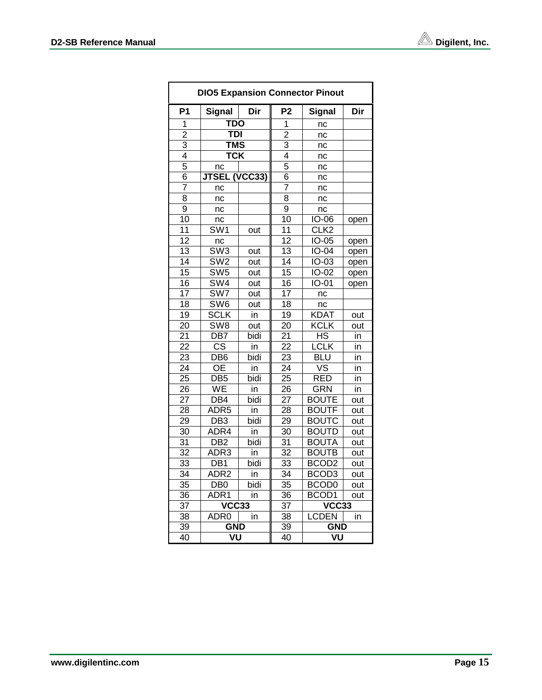| <b>DIO5 Expansion Connector Pinout</b> |                           |      |                 |                          |       |  |  |  |  |  |
|----------------------------------------|---------------------------|------|-----------------|--------------------------|-------|--|--|--|--|--|
| P <sub>1</sub>                         | <b>Signal</b>             | Dir  | P2              | <b>Signal</b>            | Dir   |  |  |  |  |  |
| 1                                      | <b>TDO</b>                |      | 1               | nc                       |       |  |  |  |  |  |
| $\overline{2}$                         | <b>TDI</b>                |      | $\overline{2}$  | nc                       |       |  |  |  |  |  |
| 3                                      | <b>TMS</b>                |      | $\overline{3}$  | nc                       |       |  |  |  |  |  |
| $\overline{4}$                         | $\overline{\textsf{TCK}}$ |      | $\overline{4}$  | nc                       |       |  |  |  |  |  |
| 5                                      | nc                        |      | $\overline{5}$  | nc                       |       |  |  |  |  |  |
| 6                                      | <b>JTSEL (VCC33)</b>      |      | 6               | nc                       |       |  |  |  |  |  |
| 7                                      | nc                        |      | $\overline{7}$  | nc                       |       |  |  |  |  |  |
| 8                                      | nc                        |      | $\overline{8}$  | nc                       |       |  |  |  |  |  |
| 9                                      | nc                        |      | $\overline{9}$  | nc                       |       |  |  |  |  |  |
| 10                                     | nc                        |      | 10              | <b>IO-06</b>             | open  |  |  |  |  |  |
| $\overline{11}$                        | $\overline{\text{SW1}}$   | out  | $\overline{11}$ | CLK <sub>2</sub>         |       |  |  |  |  |  |
| $\overline{12}$                        | nc                        |      | $\overline{12}$ | $IO-05$                  | open  |  |  |  |  |  |
| $\overline{13}$                        | $\overline{\text{SW3}}$   | out  | 13              | $IO-04$                  | open  |  |  |  |  |  |
| 14                                     | SW <sub>2</sub>           | out  | 14              | IO-03                    | open  |  |  |  |  |  |
| $\overline{15}$                        | SW5                       | out  | 15              | IO-02                    | open  |  |  |  |  |  |
| $\overline{16}$                        | $\overline{\text{SW4}}$   | out  | $\overline{16}$ | $IO-01$                  | open  |  |  |  |  |  |
| 17                                     | SW7                       | out  | 17              | nc                       |       |  |  |  |  |  |
| 18                                     | $\overline{\text{SW6}}$   | out  | 18              | nc                       |       |  |  |  |  |  |
| $\overline{19}$                        | <b>SCLK</b>               | in   | 19              | <b>KDAT</b>              | out   |  |  |  |  |  |
| $\overline{20}$                        | SW <sub>8</sub>           | out  | $\overline{20}$ | KCLK                     | out   |  |  |  |  |  |
| $2\overline{1}$                        | DB7                       | bidi | $2\overline{1}$ | ΞR                       | in    |  |  |  |  |  |
| 22                                     | $\overline{\text{cs}}$    | in   | 22              | <b>LCLK</b>              | in    |  |  |  |  |  |
| 23                                     | DB <sub>6</sub>           | bidi | $\overline{23}$ | BLU                      | in    |  |  |  |  |  |
| $\overline{24}$                        | <b>OE</b>                 | in   | $\overline{24}$ | $\overline{\mathsf{vs}}$ | in    |  |  |  |  |  |
| $\overline{25}$                        | DB <sub>5</sub>           | bidi | 25              | $\overline{RED}$         | in    |  |  |  |  |  |
| 26                                     | WE                        | in   | 26              | <b>GRN</b>               | in    |  |  |  |  |  |
| 27                                     | DB4                       | bidi | 27              | <b>BOUTE</b>             | out   |  |  |  |  |  |
| 28                                     | ADR <sub>5</sub>          | in   | 28              | <b>BOUTF</b>             | out   |  |  |  |  |  |
| 29                                     | $\overline{DB3}$          | bidi | 29              | <b>BOUTC</b>             | out   |  |  |  |  |  |
| 30                                     | ADR4                      | in   | 30              | <b>BOUTD</b>             | out   |  |  |  |  |  |
| $\overline{31}$                        | $\overline{DB2}$          | bidi | $\overline{31}$ | <b>BOUTA</b>             | out   |  |  |  |  |  |
| $\overline{32}$                        | ADR <sub>3</sub>          | in   | $\overline{32}$ | <b>BOUTB</b>             | out   |  |  |  |  |  |
| 33                                     | DB <sub>1</sub>           | bidi | 33              | BCOD <sub>2</sub>        | out   |  |  |  |  |  |
| 34                                     | ADR <sub>2</sub>          | in   | 34              | BCOD <sub>3</sub>        | out   |  |  |  |  |  |
| $\overline{35}$                        | $\overline{DB0}$          | bidi | $\overline{35}$ | <b>BCOD0</b>             | out   |  |  |  |  |  |
| 36                                     | ADR1                      | in   | 36              | BCOD1                    | out   |  |  |  |  |  |
| $\overline{37}$                        | VCC33                     |      | 37              |                          | VCC33 |  |  |  |  |  |
| 38                                     | ADR <sub>0</sub>          | in   | $\overline{38}$ | <b>LCDEN</b>             | in    |  |  |  |  |  |
| 39                                     | <b>GND</b>                |      | 39              | <b>GND</b>               |       |  |  |  |  |  |
| $\overline{40}$                        | VU                        |      | 40              |                          | VU    |  |  |  |  |  |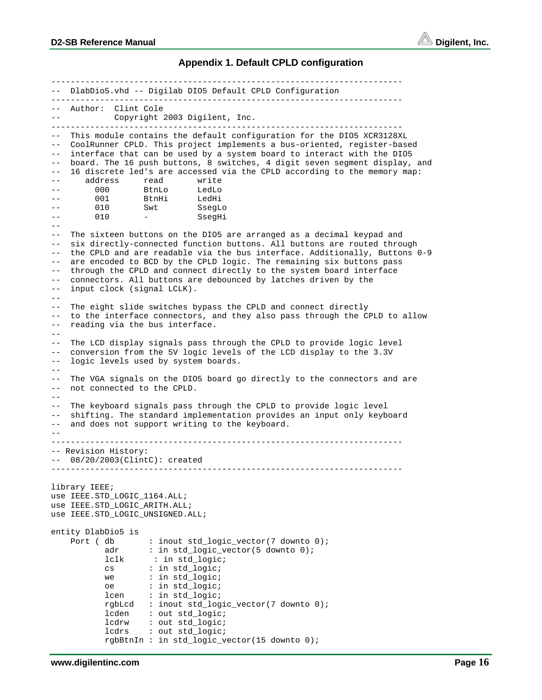

#### **Appendix 1. Default CPLD configuration**

------------------------------------------------------------------------ -- DlabDio5.vhd -- Digilab DIO5 Default CPLD Configuration ------------------------------------------------------------------------ -- Author: Clint Cole -- Copyright 2003 Digilent, Inc. ------------------------------------------------------------------------ -- This module contains the default configuration for the DIO5 XCR3128XL CoolRunner CPLD. This project implements a bus-oriented, register-based interface that can be used by a system board to interact with the DIO5 -- board. The 16 push buttons, 8 switches, 4 digit seven segment display, and -- 16 discrete led's are accessed via the CPLD according to the memory map: -- address read write -- 000 BtnLo LedLo -- 001 BtnHi -- 010 Swt SsegLo -- 010 - SseqHi  $- -$ -- The sixteen buttons on the DIO5 are arranged as a decimal keypad and -- six directly-connected function buttons. All buttons are routed through -- the CPLD and are readable via the bus interface. Additionally, Buttons 0-9 -- are encoded to BCD by the CPLD logic. The remaining six buttons pass through the CPLD and connect directly to the system board interface -- connectors. All buttons are debounced by latches driven by the -- input clock (signal LCLK). -- -- The eight slide switches bypass the CPLD and connect directly -- to the interface connectors, and they also pass through the CPLD to allow -- reading via the bus interface. -- -- The LCD display signals pass through the CPLD to provide logic level -- conversion from the 5V logic levels of the LCD display to the 3.3V -- logic levels used by system boards.  $- -$ -- The VGA signals on the DIO5 board go directly to the connectors and are -- not connected to the CPLD.  $-$ -- The keyboard signals pass through the CPLD to provide logic level -- shifting. The standard implementation provides an input only keyboard and does not support writing to the keyboard. -- ------------------------------------------------------------------------ -- Revision History: -- 08/20/2003(ClintC): created ----------------------------------------------------------------------- library IEEE; use IEEE.STD\_LOGIC\_1164.ALL; use IEEE.STD\_LOGIC\_ARITH.ALL; use IEEE.STD\_LOGIC\_UNSIGNED.ALL; entity DlabDio5 is Port ( db : inout std logic vector(7 downto 0); adr : in std\_logic\_vector(5 downto 0); lclk : in std\_logic; cs : in std\_logic; we : in std\_logic; oe : in std\_logic; lcen : in std\_logic; rgbLcd : inout std\_logic\_vector(7 downto 0); lcden : out std\_logic; lcdrw : out std\_logic; lcdrs : out std\_logic; rgbBtnIn : in std\_logic\_vector(15 downto 0);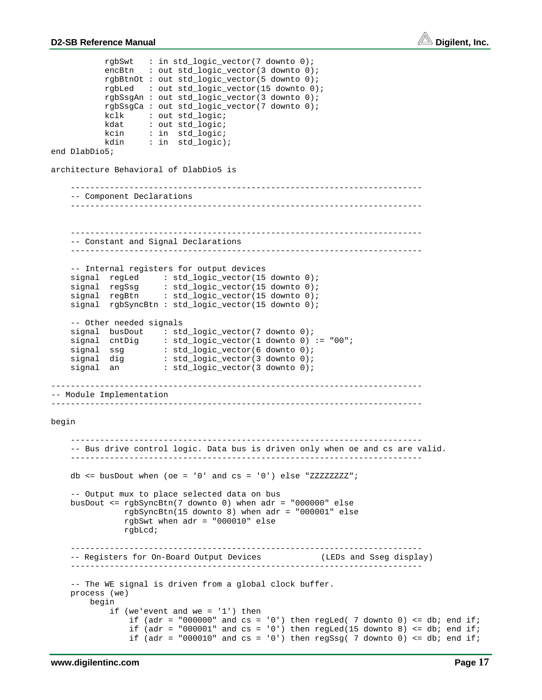

```
 rgbSwt : in std_logic_vector(7 downto 0);
encBtn : out std_logic_vector(3 downto 0);
           rgbBtnOt : out std_logic_vector(5 downto 0);
           rgbLed : out std_logic_vector(15 downto 0);
           rgbSsgAn : out std_logic_vector(3 downto 0);
           rgbSsgCa : out std_logic_vector(7 downto 0);
           kclk : out std_logic;
           kdat : out std_logic;
           kcin : in std_logic;
           kdin : in std_logic);
end DlabDio5;
architecture Behavioral of DlabDio5 is
     ------------------------------------------------------------------------
     -- Component Declarations
 ------------------------------------------------------------------------
       ------------------------------------------------------------------------
     -- Constant and Signal Declarations
     ------------------------------------------------------------------------
     -- Internal registers for output devices
   signal regLed : std_logic_vector(15 downto 0);
signal regSsg : std_logic_vector(15 downto 0);
signal regBtn : std_logic_vector(15 downto 0);
    signal rgbSyncBtn : std_logic_vector(15 downto 0);
    -- Other needed signals
signal busDout : std_logic_vector(7 downto 0);
 signal cntDig : std_logic_vector(1 downto 0) := "00";
 signal ssg : std_logic_vector(6 downto 0);
signal dig : std_logic_vector(3 downto 0);
signal an : std\_logic\_vector(3 down to 0);----------------------------------------------------------------------------
-- Module Implementation
----------------------------------------------------------------------------
begin
     ------------------------------------------------------------------------
     -- Bus drive control logic. Data bus is driven only when oe and cs are valid.
     ------------------------------------------------------------------------
   db \le busDout when (oe = '0' and cs = '0') else "ZZZZZZZZ";
     -- Output mux to place selected data on bus
    busDout <= rgbSyncBtn(7 downto 0) when adr = "000000" else
               rgbSyncBtn(15 downto 8) when adr = "000001" else
               rgbSwt when adr = "000010" else
               rgbLcd;
     ------------------------------------------------------------------------
     -- Registers for On-Board Output Devices (LEDs and Sseg display)
     ------------------------------------------------------------------------
     -- The WE signal is driven from a global clock buffer.
    process (we)
        begin
           if (we'event and we = '1') then
if (adr = "000000" and cs = '0') then regLed( 7 downto 0) <= db; end if;
if (adr = "000001" and cs = '0') then regLed(15 downto 8) <= db; end if;
               if (adr = "000010" and cs = '0') then regSsg( 7 downto 0) <= db; end if;
```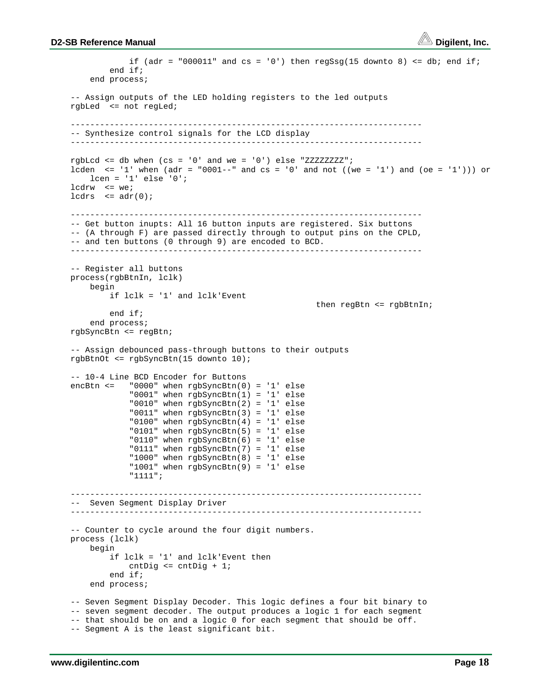

```
if (adr = "000011" and cs = '0') then regSsg(15 downto 8) <= db; end if;
             end if;
        end process;
     -- Assign outputs of the LED holding registers to the led outputs
    rgbLed <= not regLed;
     ------------------------------------------------------------------------
    -- Synthesize control signals for the LCD display
 ------------------------------------------------------------------------
   rgbLcd <= db when (cs = '0' and we = '0') else "ZZZZZZZZ";
   lcden \le '1' when (adr = "0001--" and cs = '0' and not ((we = '1') and (oe = '1'))) or
       lcen = '1' else '0';lcdrw <= we;
   lcdrs \leq adr(0);
 ------------------------------------------------------------------------
     -- Get button inupts: All 16 button inputs are registered. Six buttons
    -- (A through F) are passed directly through to output pins on the CPLD,
    -- and ten buttons (0 through 9) are encoded to BCD.
    ------------------------------------------------------------------------
    -- Register all buttons
    process(rgbBtnIn, lclk)
        begin
             if lclk = '1' and lclk'Event
                                                        then regBtn <= rgbBtnIn;
            end if;
        end process;
    rgbSyncBtn <= regBtn;
     -- Assign debounced pass-through buttons to their outputs
    rgbBtnOt <= rgbSyncBtn(15 downto 10);
    -- 10-4 Line BCD Encoder for Buttons
   encBtn \le "0000" when rgbSyncBtn(0) = '1' else
                 "0001" when rgbSyncBtn(1) = '1' else
                 "0010" when rgbSyncBtn(2) = '1' else
                 "0011" when rgbSyncBtn(3) = '1' else
                 "0100" when rgbSyncBtn(4) = '1' else
                 "0101" when rgbSyncBtn(5) = '1' else
                 "0110" when rgbSyncBtn(6) = '1' else
                 "0111" when rgbSyncBtn(7) = '1' else
                 "1000" when rgbSyncBtn(8) = '1' else
                 "1001" when rgbSyncBtn(9) = '1' else
                 "1111";
     ------------------------------------------------------------------------
     -- Seven Segment Display Driver
     ------------------------------------------------------------------------
    -- Counter to cycle around the four digit numbers.
    process (lclk)
        begin
             if lclk = '1' and lclk'Event then
                 cntDig <= cntDig + 1;
             end if;
        end process;
    -- Seven Segment Display Decoder. This logic defines a four bit binary to
    -- seven segment decoder. The output produces a logic 1 for each segment
    -- that should be on and a logic 0 for each segment that should be off.
    -- Segment A is the least significant bit.
```